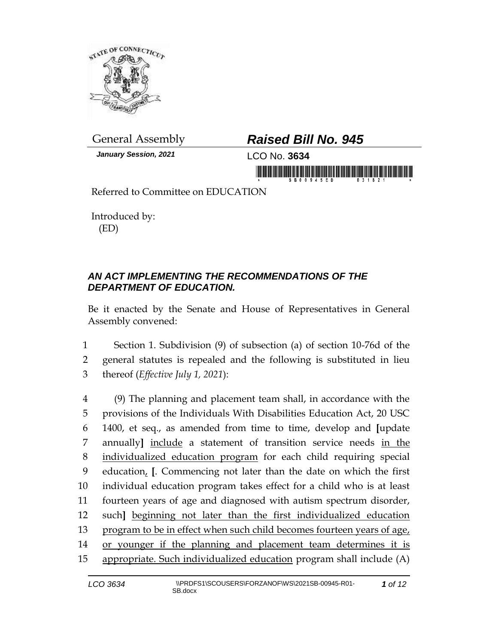

*January Session, 2021* LCO No. **3634**

## General Assembly *Raised Bill No. 945*

in monoid fishinininin monoid itiri monoi

Referred to Committee on EDUCATION

Introduced by: (ED)

## *AN ACT IMPLEMENTING THE RECOMMENDATIONS OF THE DEPARTMENT OF EDUCATION.*

Be it enacted by the Senate and House of Representatives in General Assembly convened:

1 Section 1. Subdivision (9) of subsection (a) of section 10-76d of the 2 general statutes is repealed and the following is substituted in lieu 3 thereof (*Effective July 1, 2021*):

 (9) The planning and placement team shall, in accordance with the provisions of the Individuals With Disabilities Education Act, 20 USC 1400, et seq., as amended from time to time, develop and **[**update annually**]** include a statement of transition service needs in the individualized education program for each child requiring special education, **[**. Commencing not later than the date on which the first individual education program takes effect for a child who is at least fourteen years of age and diagnosed with autism spectrum disorder, such**]** beginning not later than the first individualized education program to be in effect when such child becomes fourteen years of age, 14 or younger if the planning and placement team determines it is appropriate. Such individualized education program shall include (A)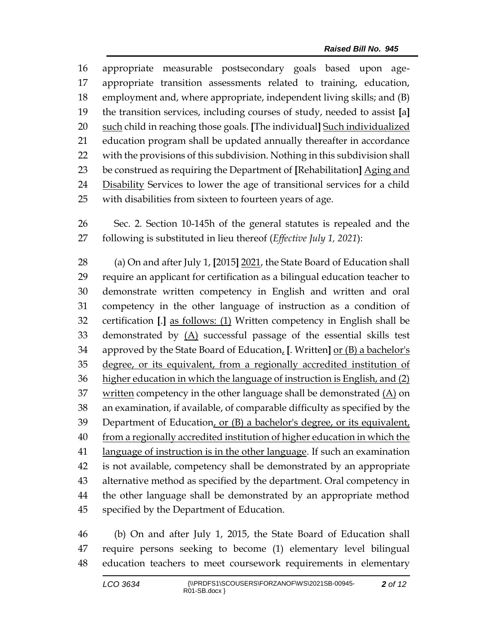appropriate measurable postsecondary goals based upon age- appropriate transition assessments related to training, education, employment and, where appropriate, independent living skills; and (B) the transition services, including courses of study, needed to assist **[**a**]** such child in reaching those goals. **[**The individual**]** Such individualized education program shall be updated annually thereafter in accordance with the provisions of this subdivision. Nothing in this subdivision shall be construed as requiring the Department of **[**Rehabilitation**]** Aging and Disability Services to lower the age of transitional services for a child with disabilities from sixteen to fourteen years of age.

 Sec. 2. Section 10-145h of the general statutes is repealed and the following is substituted in lieu thereof (*Effective July 1, 2021*):

 (a) On and after July 1, **[**2015**]** 2021, the State Board of Education shall require an applicant for certification as a bilingual education teacher to demonstrate written competency in English and written and oral competency in the other language of instruction as a condition of certification **[**.**]** as follows: (1) Written competency in English shall be demonstrated by (A) successful passage of the essential skills test approved by the State Board of Education, **[**. Written**]** or (B) a bachelor's degree, or its equivalent, from a regionally accredited institution of higher education in which the language of instruction is English, and (2) written competency in the other language shall be demonstrated (A) on an examination, if available, of comparable difficulty as specified by the Department of Education, or (B) a bachelor's degree, or its equivalent, 40 from a regionally accredited institution of higher education in which the language of instruction is in the other language. If such an examination is not available, competency shall be demonstrated by an appropriate alternative method as specified by the department. Oral competency in the other language shall be demonstrated by an appropriate method specified by the Department of Education.

 (b) On and after July 1, 2015, the State Board of Education shall require persons seeking to become (1) elementary level bilingual education teachers to meet coursework requirements in elementary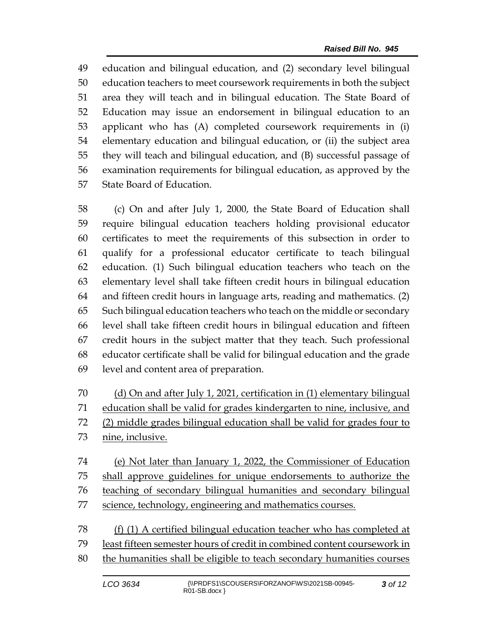education and bilingual education, and (2) secondary level bilingual education teachers to meet coursework requirements in both the subject area they will teach and in bilingual education. The State Board of Education may issue an endorsement in bilingual education to an applicant who has (A) completed coursework requirements in (i) elementary education and bilingual education, or (ii) the subject area they will teach and bilingual education, and (B) successful passage of examination requirements for bilingual education, as approved by the State Board of Education.

 (c) On and after July 1, 2000, the State Board of Education shall require bilingual education teachers holding provisional educator certificates to meet the requirements of this subsection in order to qualify for a professional educator certificate to teach bilingual education. (1) Such bilingual education teachers who teach on the elementary level shall take fifteen credit hours in bilingual education and fifteen credit hours in language arts, reading and mathematics. (2) Such bilingual education teachers who teach on the middle or secondary level shall take fifteen credit hours in bilingual education and fifteen credit hours in the subject matter that they teach. Such professional educator certificate shall be valid for bilingual education and the grade level and content area of preparation.

 (d) On and after July 1, 2021, certification in (1) elementary bilingual education shall be valid for grades kindergarten to nine, inclusive, and (2) middle grades bilingual education shall be valid for grades four to nine, inclusive.

 (e) Not later than January 1, 2022, the Commissioner of Education shall approve guidelines for unique endorsements to authorize the teaching of secondary bilingual humanities and secondary bilingual 77 science, technology, engineering and mathematics courses.

 (f) (1) A certified bilingual education teacher who has completed at least fifteen semester hours of credit in combined content coursework in the humanities shall be eligible to teach secondary humanities courses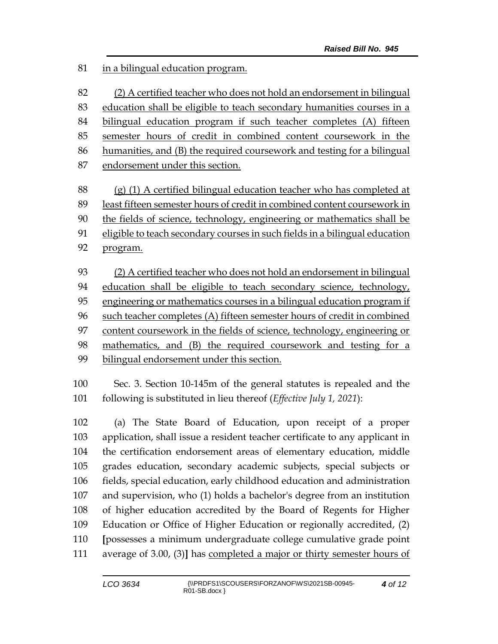in a bilingual education program.

 (2) A certified teacher who does not hold an endorsement in bilingual education shall be eligible to teach secondary humanities courses in a bilingual education program if such teacher completes (A) fifteen semester hours of credit in combined content coursework in the humanities, and (B) the required coursework and testing for a bilingual endorsement under this section.

 (g) (1) A certified bilingual education teacher who has completed at least fifteen semester hours of credit in combined content coursework in the fields of science, technology, engineering or mathematics shall be eligible to teach secondary courses in such fields in a bilingual education program.

 (2) A certified teacher who does not hold an endorsement in bilingual education shall be eligible to teach secondary science, technology, engineering or mathematics courses in a bilingual education program if such teacher completes (A) fifteen semester hours of credit in combined content coursework in the fields of science, technology, engineering or mathematics, and (B) the required coursework and testing for a bilingual endorsement under this section.

 Sec. 3. Section 10-145m of the general statutes is repealed and the following is substituted in lieu thereof (*Effective July 1, 2021*):

 (a) The State Board of Education, upon receipt of a proper application, shall issue a resident teacher certificate to any applicant in the certification endorsement areas of elementary education, middle grades education, secondary academic subjects, special subjects or fields, special education, early childhood education and administration and supervision, who (1) holds a bachelor's degree from an institution of higher education accredited by the Board of Regents for Higher Education or Office of Higher Education or regionally accredited, (2) **[**possesses a minimum undergraduate college cumulative grade point average of 3.00, (3)**]** has completed a major or thirty semester hours of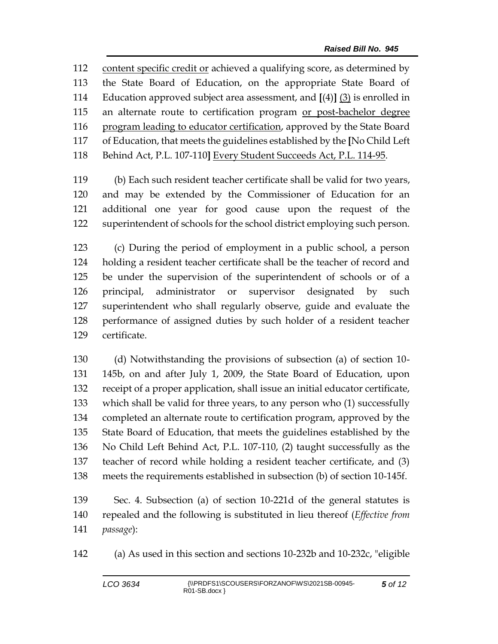content specific credit or achieved a qualifying score, as determined by the State Board of Education, on the appropriate State Board of Education approved subject area assessment, and **[**(4)**]** (3) is enrolled in 115 an alternate route to certification program or post-bachelor degree 116 program leading to educator certification, approved by the State Board of Education, that meets the guidelines established by the **[**No Child Left Behind Act, P.L. 107-110**]** Every Student Succeeds Act, P.L. 114-95.

 (b) Each such resident teacher certificate shall be valid for two years, and may be extended by the Commissioner of Education for an additional one year for good cause upon the request of the superintendent of schools for the school district employing such person.

 (c) During the period of employment in a public school, a person holding a resident teacher certificate shall be the teacher of record and be under the supervision of the superintendent of schools or of a principal, administrator or supervisor designated by such superintendent who shall regularly observe, guide and evaluate the performance of assigned duties by such holder of a resident teacher certificate.

 (d) Notwithstanding the provisions of subsection (a) of section 10- 145b, on and after July 1, 2009, the State Board of Education, upon receipt of a proper application, shall issue an initial educator certificate, which shall be valid for three years, to any person who (1) successfully completed an alternate route to certification program, approved by the State Board of Education, that meets the guidelines established by the No Child Left Behind Act, P.L. 107-110, (2) taught successfully as the teacher of record while holding a resident teacher certificate, and (3) meets the requirements established in subsection (b) of section 10-145f.

 Sec. 4. Subsection (a) of section 10-221d of the general statutes is repealed and the following is substituted in lieu thereof (*Effective from passage*):

(a) As used in this section and sections 10-232b and 10-232c, "eligible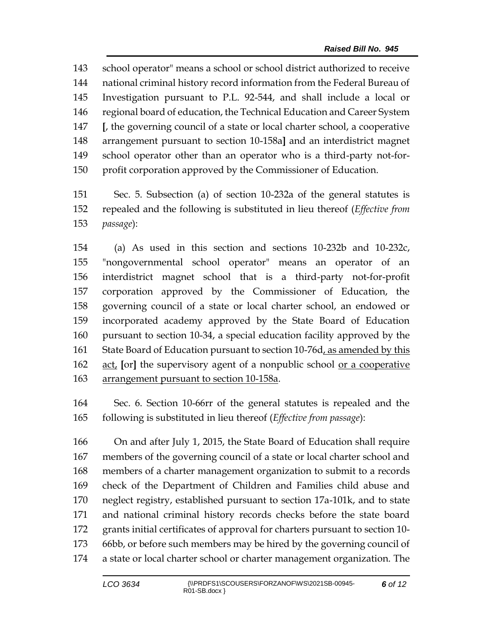school operator" means a school or school district authorized to receive national criminal history record information from the Federal Bureau of Investigation pursuant to P.L. 92-544, and shall include a local or regional board of education, the Technical Education and Career System **[**, the governing council of a state or local charter school, a cooperative arrangement pursuant to section 10-158a**]** and an interdistrict magnet school operator other than an operator who is a third-party not-for-profit corporation approved by the Commissioner of Education.

 Sec. 5. Subsection (a) of section 10-232a of the general statutes is repealed and the following is substituted in lieu thereof (*Effective from passage*):

 (a) As used in this section and sections 10-232b and 10-232c, "nongovernmental school operator" means an operator of an interdistrict magnet school that is a third-party not-for-profit corporation approved by the Commissioner of Education, the governing council of a state or local charter school, an endowed or incorporated academy approved by the State Board of Education pursuant to section 10-34, a special education facility approved by the 161 State Board of Education pursuant to section 10-76d<sub>L</sub> as amended by this act, **[**or**]** the supervisory agent of a nonpublic school or a cooperative 163 arrangement pursuant to section 10-158a.

 Sec. 6. Section 10-66rr of the general statutes is repealed and the following is substituted in lieu thereof (*Effective from passage*):

 On and after July 1, 2015, the State Board of Education shall require members of the governing council of a state or local charter school and members of a charter management organization to submit to a records check of the Department of Children and Families child abuse and neglect registry, established pursuant to section 17a-101k, and to state and national criminal history records checks before the state board grants initial certificates of approval for charters pursuant to section 10- 66bb, or before such members may be hired by the governing council of a state or local charter school or charter management organization. The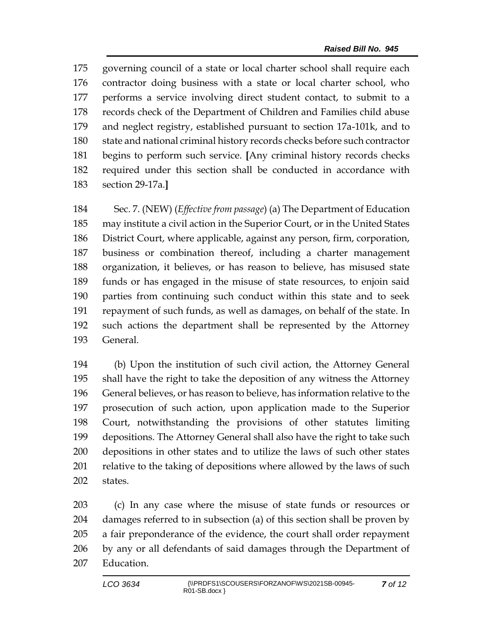governing council of a state or local charter school shall require each contractor doing business with a state or local charter school, who performs a service involving direct student contact, to submit to a records check of the Department of Children and Families child abuse and neglect registry, established pursuant to section 17a-101k, and to state and national criminal history records checks before such contractor begins to perform such service. **[**Any criminal history records checks required under this section shall be conducted in accordance with section 29-17a.**]**

 Sec. 7. (NEW) (*Effective from passage*) (a) The Department of Education may institute a civil action in the Superior Court, or in the United States District Court, where applicable, against any person, firm, corporation, business or combination thereof, including a charter management organization, it believes, or has reason to believe, has misused state funds or has engaged in the misuse of state resources, to enjoin said parties from continuing such conduct within this state and to seek repayment of such funds, as well as damages, on behalf of the state. In such actions the department shall be represented by the Attorney General.

 (b) Upon the institution of such civil action, the Attorney General shall have the right to take the deposition of any witness the Attorney General believes, or has reason to believe, has information relative to the prosecution of such action, upon application made to the Superior Court, notwithstanding the provisions of other statutes limiting depositions. The Attorney General shall also have the right to take such depositions in other states and to utilize the laws of such other states 201 relative to the taking of depositions where allowed by the laws of such states.

 (c) In any case where the misuse of state funds or resources or damages referred to in subsection (a) of this section shall be proven by a fair preponderance of the evidence, the court shall order repayment by any or all defendants of said damages through the Department of Education.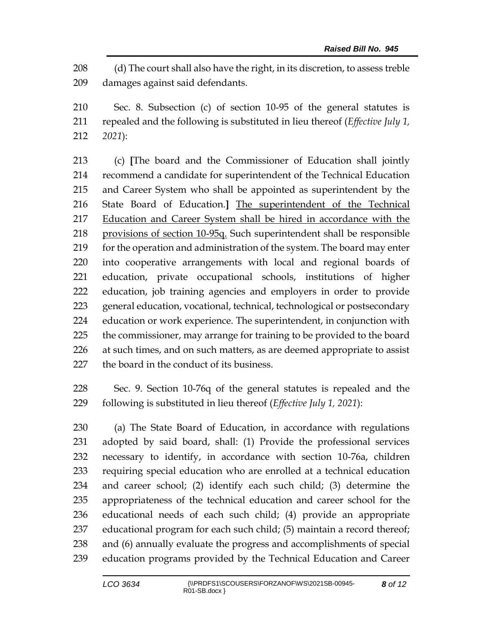(d) The court shall also have the right, in its discretion, to assess treble damages against said defendants.

 Sec. 8. Subsection (c) of section 10-95 of the general statutes is repealed and the following is substituted in lieu thereof (*Effective July 1, 2021*):

 (c) **[**The board and the Commissioner of Education shall jointly recommend a candidate for superintendent of the Technical Education and Career System who shall be appointed as superintendent by the State Board of Education.**]** The superintendent of the Technical Education and Career System shall be hired in accordance with the provisions of section 10-95q. Such superintendent shall be responsible 219 for the operation and administration of the system. The board may enter into cooperative arrangements with local and regional boards of education, private occupational schools, institutions of higher education, job training agencies and employers in order to provide general education, vocational, technical, technological or postsecondary education or work experience. The superintendent, in conjunction with the commissioner, may arrange for training to be provided to the board 226 at such times, and on such matters, as are deemed appropriate to assist the board in the conduct of its business.

 Sec. 9. Section 10-76q of the general statutes is repealed and the following is substituted in lieu thereof (*Effective July 1, 2021*):

 (a) The State Board of Education, in accordance with regulations adopted by said board, shall: (1) Provide the professional services necessary to identify, in accordance with section 10-76a, children requiring special education who are enrolled at a technical education and career school; (2) identify each such child; (3) determine the appropriateness of the technical education and career school for the educational needs of each such child; (4) provide an appropriate educational program for each such child; (5) maintain a record thereof; and (6) annually evaluate the progress and accomplishments of special education programs provided by the Technical Education and Career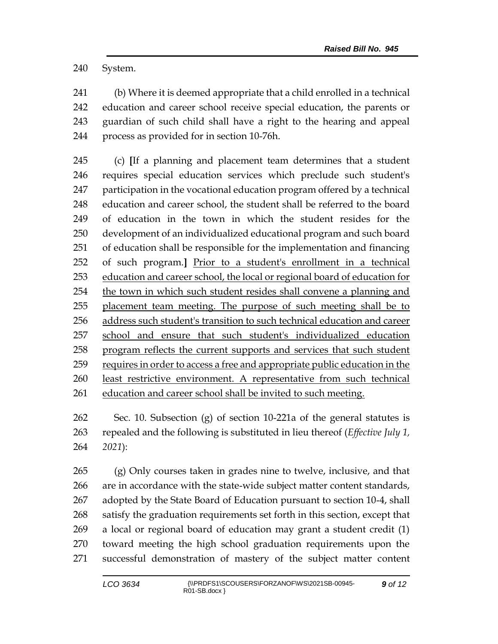System.

 (b) Where it is deemed appropriate that a child enrolled in a technical education and career school receive special education, the parents or guardian of such child shall have a right to the hearing and appeal process as provided for in section 10-76h.

 (c) **[**If a planning and placement team determines that a student requires special education services which preclude such student's participation in the vocational education program offered by a technical education and career school, the student shall be referred to the board of education in the town in which the student resides for the development of an individualized educational program and such board of education shall be responsible for the implementation and financing of such program.**]** Prior to a student's enrollment in a technical education and career school, the local or regional board of education for the town in which such student resides shall convene a planning and placement team meeting. The purpose of such meeting shall be to address such student's transition to such technical education and career school and ensure that such student's individualized education program reflects the current supports and services that such student 259 requires in order to access a free and appropriate public education in the least restrictive environment. A representative from such technical education and career school shall be invited to such meeting.

 Sec. 10. Subsection (g) of section 10-221a of the general statutes is repealed and the following is substituted in lieu thereof (*Effective July 1, 2021*):

 (g) Only courses taken in grades nine to twelve, inclusive, and that are in accordance with the state-wide subject matter content standards, adopted by the State Board of Education pursuant to section 10-4, shall satisfy the graduation requirements set forth in this section, except that a local or regional board of education may grant a student credit (1) toward meeting the high school graduation requirements upon the successful demonstration of mastery of the subject matter content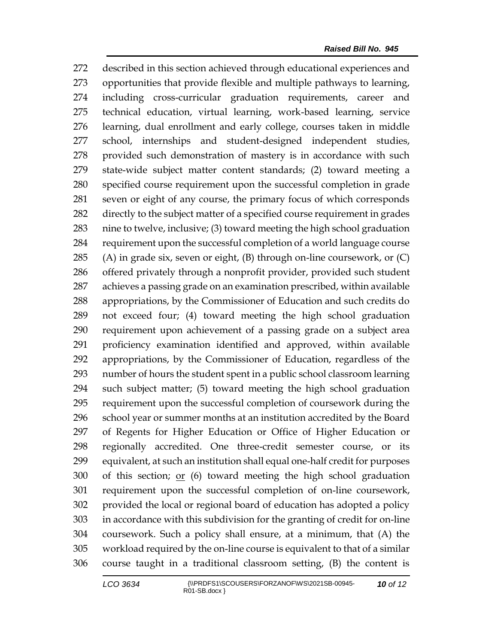described in this section achieved through educational experiences and opportunities that provide flexible and multiple pathways to learning, including cross-curricular graduation requirements, career and technical education, virtual learning, work-based learning, service learning, dual enrollment and early college, courses taken in middle school, internships and student-designed independent studies, provided such demonstration of mastery is in accordance with such state-wide subject matter content standards; (2) toward meeting a specified course requirement upon the successful completion in grade seven or eight of any course, the primary focus of which corresponds directly to the subject matter of a specified course requirement in grades nine to twelve, inclusive; (3) toward meeting the high school graduation requirement upon the successful completion of a world language course (A) in grade six, seven or eight, (B) through on-line coursework, or (C) offered privately through a nonprofit provider, provided such student achieves a passing grade on an examination prescribed, within available appropriations, by the Commissioner of Education and such credits do not exceed four; (4) toward meeting the high school graduation requirement upon achievement of a passing grade on a subject area proficiency examination identified and approved, within available appropriations, by the Commissioner of Education, regardless of the number of hours the student spent in a public school classroom learning such subject matter; (5) toward meeting the high school graduation requirement upon the successful completion of coursework during the school year or summer months at an institution accredited by the Board of Regents for Higher Education or Office of Higher Education or regionally accredited. One three-credit semester course, or its equivalent, at such an institution shall equal one-half credit for purposes of this section; or (6) toward meeting the high school graduation requirement upon the successful completion of on-line coursework, provided the local or regional board of education has adopted a policy in accordance with this subdivision for the granting of credit for on-line coursework. Such a policy shall ensure, at a minimum, that (A) the workload required by the on-line course is equivalent to that of a similar course taught in a traditional classroom setting, (B) the content is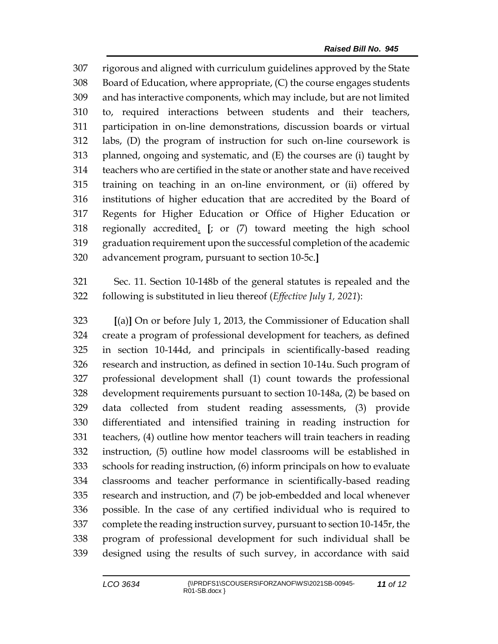rigorous and aligned with curriculum guidelines approved by the State Board of Education, where appropriate, (C) the course engages students and has interactive components, which may include, but are not limited to, required interactions between students and their teachers, participation in on-line demonstrations, discussion boards or virtual labs, (D) the program of instruction for such on-line coursework is planned, ongoing and systematic, and (E) the courses are (i) taught by teachers who are certified in the state or another state and have received training on teaching in an on-line environment, or (ii) offered by institutions of higher education that are accredited by the Board of Regents for Higher Education or Office of Higher Education or regionally accredited. **[**; or (7) toward meeting the high school graduation requirement upon the successful completion of the academic advancement program, pursuant to section 10-5c.**]**

 Sec. 11. Section 10-148b of the general statutes is repealed and the following is substituted in lieu thereof (*Effective July 1, 2021*):

 **[**(a)**]** On or before July 1, 2013, the Commissioner of Education shall create a program of professional development for teachers, as defined in section 10-144d, and principals in scientifically-based reading research and instruction, as defined in section 10-14u. Such program of professional development shall (1) count towards the professional development requirements pursuant to section 10-148a, (2) be based on data collected from student reading assessments, (3) provide differentiated and intensified training in reading instruction for teachers, (4) outline how mentor teachers will train teachers in reading instruction, (5) outline how model classrooms will be established in schools for reading instruction, (6) inform principals on how to evaluate classrooms and teacher performance in scientifically-based reading research and instruction, and (7) be job-embedded and local whenever possible. In the case of any certified individual who is required to complete the reading instruction survey, pursuant to section 10-145r, the program of professional development for such individual shall be designed using the results of such survey, in accordance with said